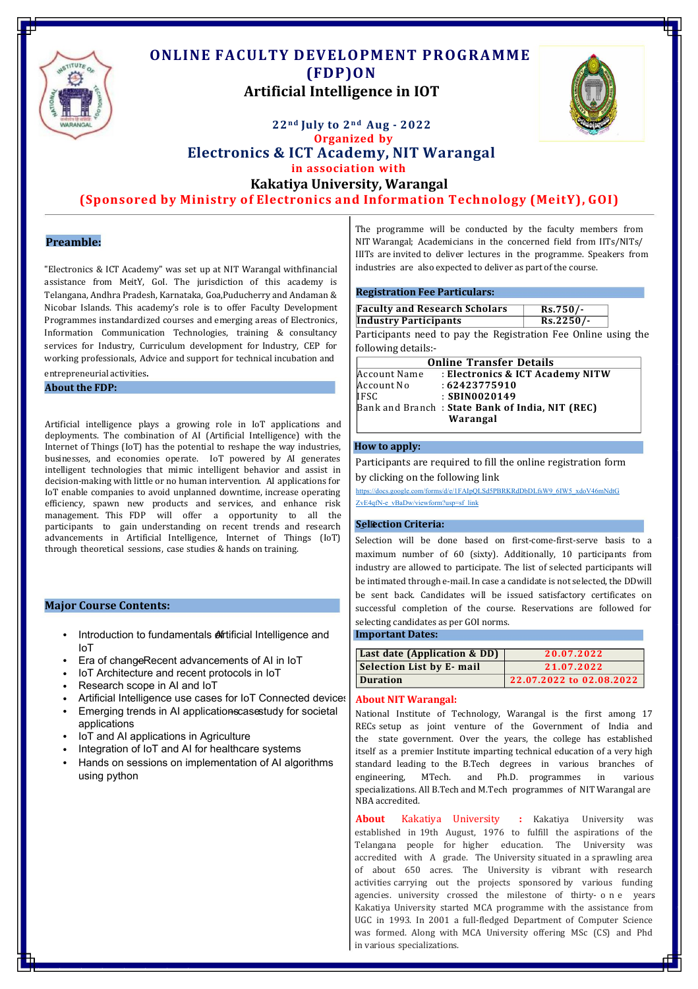

# **ONLINE FACULTY DEVELOPMENT PROGRAMME (FDP)ON Artificial Intelligence in IOT**



# **22n d July to 2n d Aug - 2022 Organized by Electronics & ICT Academy, NIT Warangal in association with**

**Kakatiya University, Warangal**

**(Sponsored by Ministry of Electronics and Information Technology (MeitY), GOI)**

"Electronics & ICT Academy" was set up at NIT Warangal withfinancial assistance from MeitY, GoI. The jurisdiction of this academy is Telangana, Andhra Pradesh, Karnataka, Goa,Puducherry and Andaman & Nicobar Islands. This academy's role is to offer Faculty Development Programmes instandardized courses and emerging areas of Electronics, Information Communication Technologies, training & consultancy services for Industry, Curriculum development for Industry, CEP for working professionals, Advice and support for technical incubation and

# entrepreneurial activities.

**About the FDP:**

**Warangal** Artificial intelligence plays <sup>a</sup> growing role in IoT applications and deployments. The combination of AI (Artificial Intelligence) with the Internet of Things (IoT) has the potential to reshape the way industries, **How to apply:**<br>businesses, and economies operate. IoT powered by AI generates businesses, and economies operate. IoT powered by AI generates Participants are required to fill the online registration form<br>intelligent technologies that mimic intelligent behavior and assist in decision-making with little or no human intervention. AI applications for IoT enable companies to avoid unplanned downtime, increase operating efficiency, spawn new products and services, and enhance [risk](https://docs.google.com/forms/d/e/1FAIpQLSePvgl_k2G8vk0KC0LKOe-L9kkFgPh0mCdQJBnuX9uomamkVw/viewform?vc=0&c=0&w=1&flr=0) management. This FDP will offer a opportunity to all the participants to gain understanding on recent trends and research **Sellection Criteria:** advancements in Artificial Intelligence, Internet of Things (IoT) through theoretical sessions, case studies & hands on training.

### **Major Course Contents:**

- Introduction to fundamentals **A**rtificial Intelligence and IoT
- $\bullet$   $\;\;$  Era of change $\sf Recent$  advancements of AI in IoT
- IoT Architecture and recent protocols in IoT •
- Research scope in AI and IoT •
- Artificial Intelligence use cases for IoT Connected devices •
- Emerging trends in AI applications cases tudy for societal applications •
- IoT and AI applications in Agriculture •
- Integration of IoT and AI for healthcare systems •
- Hands on sessions on implementation of AI algorithms using python •

The programme will be conducted by the faculty members from **Preamble:** NIT Warangal; Academicians in the concerned field from IITs/NITs/ IIITs are invited to deliver lectures in the programme. Speakers from industries are also expected to deliver as part of the course.

### **Registration Fee Particulars:**

| V Development   | <b>Faculty and Research Scholars</b>                                           | $Rs.750/-$  |  |
|-----------------|--------------------------------------------------------------------------------|-------------|--|
| of Electronics, | <b>Industry Participants</b>                                                   | $Rs.2250/-$ |  |
|                 | & consultancy   Participants need to pay the Registration Fee Online using the |             |  |

following details:-

| <b>Online Transfer Details</b> |                                                 |  |
|--------------------------------|-------------------------------------------------|--|
| Account Name                   | : Electronics & ICT Academy NITW                |  |
| Account No                     | :62423775910                                    |  |
| IFSC                           | $:$ SBIN0020149                                 |  |
|                                | Bank and Branch: State Bank of India, NIT (REC) |  |
|                                | Warangal                                        |  |

by clicking on the following link

[https://docs.google.com/forms/d/e/1FAIpQLSd5PBRKRdDbDLfsW9\\_6IW5\\_xdoV46mNdtG](https://docs.google.com/forms/d/e/1FAIpQLSd5PBRKRdDbDLfsW9_6IW5_xdoV46mNdtGZvE4qfN-e_vBaDw/viewform?usp=sf_link) [ZvE4qfN-e\\_vBaDw/viewform?usp=sf\\_link](https://docs.google.com/forms/d/e/1FAIpQLSd5PBRKRdDbDLfsW9_6IW5_xdoV46mNdtGZvE4qfN-e_vBaDw/viewform?usp=sf_link)

Selection will be done based on first-come-first-serve basis to a maximum number of 60 (sixty). Additionally, 10 participants from industry are allowed to participate. The list of selected participants will be intimated through e-mail. In case a candidate is not selected, the DDwill be sent back. Candidates will be issued satisfactory certificates on successful completion of the course. Reservations are followed for selecting candidates as per GOI norms.

### **Important Dates:**

| <b>Last date (Application &amp; DD)</b> | 20.07.2022               |
|-----------------------------------------|--------------------------|
| Selection List by E-mail                | 21.07.2022               |
| Duration                                | 22.07.2022 to 02.08.2022 |

## **About NIT Warangal:**

National Institute of Technology, Warangal is the first among 17 RECs setup as joint venture of the Government of India and the state government. Over the years, the college has established itself as a premier Institute imparting technical education of a very high standard leading to the B.Tech degrees in various branches of engineering, MTech. and Ph.D. programmes in specializations. All B.Tech and M.Tech programmes of NIT Warangal are NBA accredited.

**About** Kakatiya University **:** Kakatiya University was established in 19th August, 1976 to fulfill the aspirations of the Telangana people for higher education. The University was accredited with A grade. The University situated in a sprawling area of about 650 acres. The University is vibrant with research activities carrying out the projects sponsored by various funding agencies. university crossed the milestone of thirty- one years Kakatiya University started MCA programme with the assistance from UGC in 1993. In 2001 a full-fledged Department of Computer Science was formed. Along with MCA University offering MSc (CS) and Phd in various specializations.